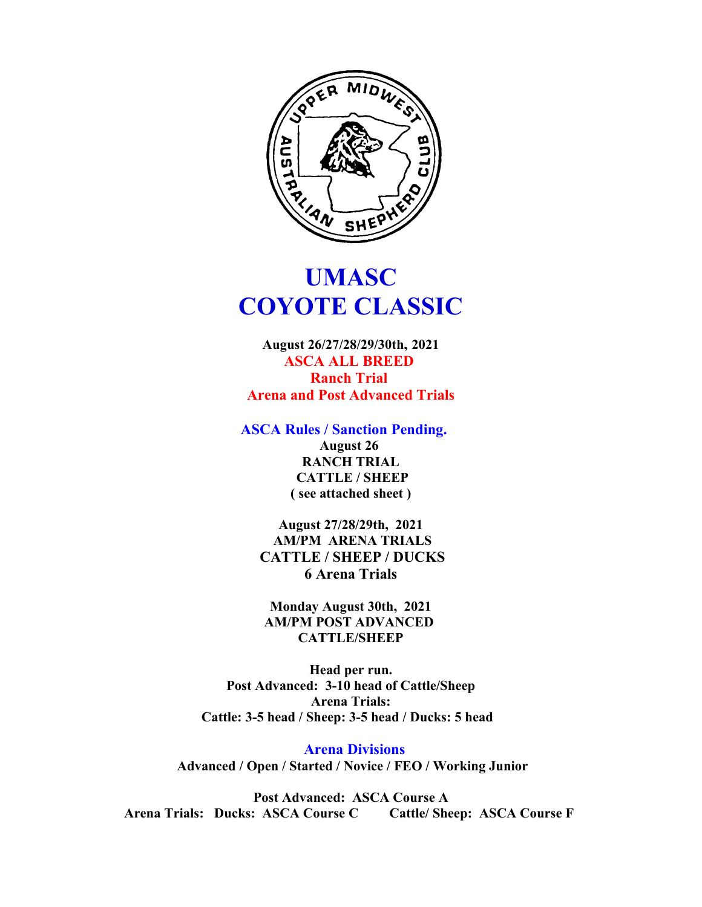

# **UMASC COYOTE CLASSIC**

**August 26/27/28/29/30th, 2021 ASCA ALL BREED Ranch Trial Arena and Post Advanced Trials**

**ASCA Rules / Sanction Pending.** 

**August 26 RANCH TRIAL CATTLE / SHEEP ( see attached sheet )**

**August 27/28/29th, 2021 AM/PM ARENA TRIALS CATTLE / SHEEP / DUCKS 6 Arena Trials**

**Monday August 30th, 2021 AM/PM POST ADVANCED CATTLE/SHEEP**

**Head per run. Post Advanced: 3-10 head of Cattle/Sheep Arena Trials: Cattle: 3-5 head / Sheep: 3-5 head / Ducks: 5 head** 

 **Arena Divisions Advanced / Open / Started / Novice / FEO / Working Junior**

**Post Advanced: ASCA Course A Arena Trials: Ducks: ASCA Course C Cattle/ Sheep: ASCA Course F**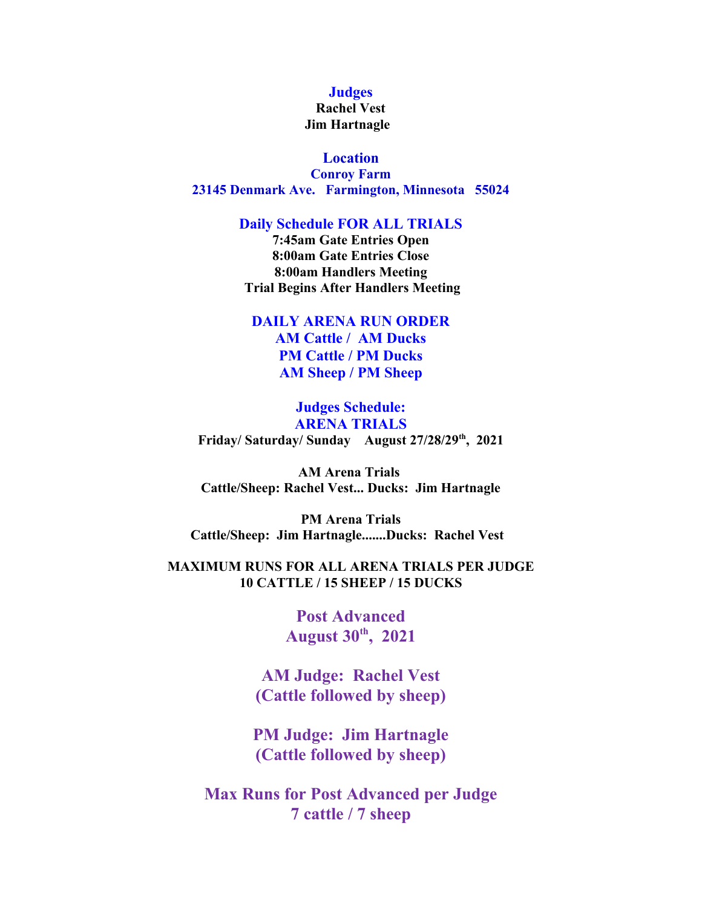#### **Judges**

#### **Rachel Vest Jim Hartnagle**

**Location Conroy Farm 23145 Denmark Ave. Farmington, Minnesota 55024**

#### **Daily Schedule FOR ALL TRIALS**

**7:45am Gate Entries Open 8:00am Gate Entries Close 8:00am Handlers Meeting Trial Begins After Handlers Meeting**

## **DAILY ARENA RUN ORDER AM Cattle / AM Ducks PM Cattle / PM Ducks AM Sheep / PM Sheep**

## **Judges Schedule: ARENA TRIALS Friday/ Saturday/ Sunday August 27/28/29th, 2021**

**AM Arena Trials Cattle/Sheep: Rachel Vest... Ducks: Jim Hartnagle**

**PM Arena Trials Cattle/Sheep: Jim Hartnagle.......Ducks: Rachel Vest** 

## **MAXIMUM RUNS FOR ALL ARENA TRIALS PER JUDGE 10 CATTLE / 15 SHEEP / 15 DUCKS**

**Post Advanced August 30th, 2021**

**AM Judge: Rachel Vest (Cattle followed by sheep)**

**PM Judge: Jim Hartnagle (Cattle followed by sheep)**

**Max Runs for Post Advanced per Judge 7 cattle / 7 sheep**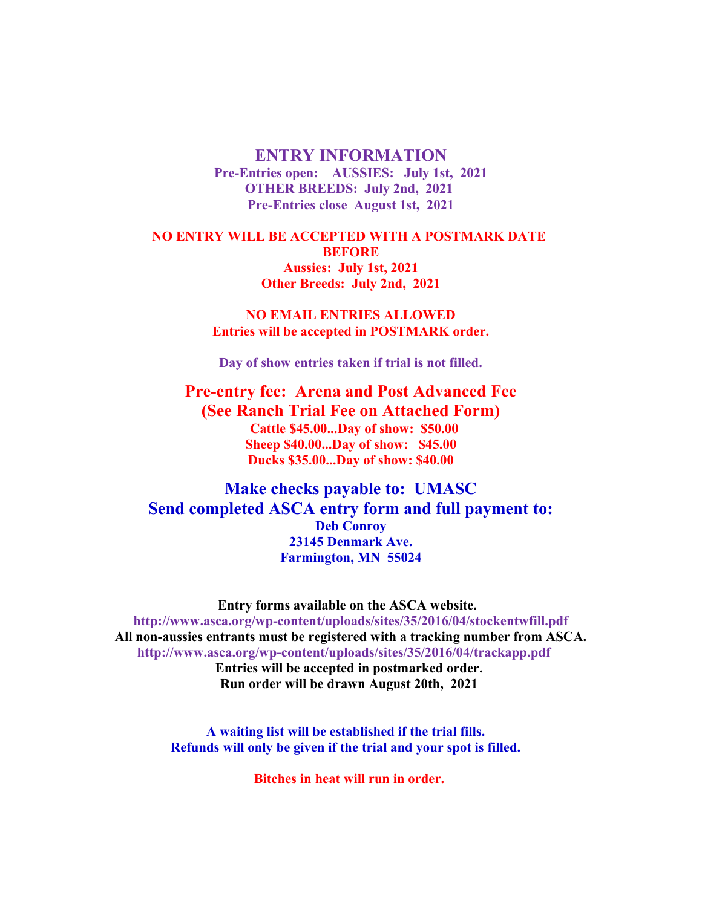#### **ENTRY INFORMATION**

**Pre-Entries open: AUSSIES: July 1st, 2021 OTHER BREEDS: July 2nd, 2021 Pre-Entries close August 1st, 2021**

**NO ENTRY WILL BE ACCEPTED WITH A POSTMARK DATE BEFORE Aussies: July 1st, 2021 Other Breeds: July 2nd, 2021**

> **NO EMAIL ENTRIES ALLOWED Entries will be accepted in POSTMARK order.**

**Day of show entries taken if trial is not filled.**

**Pre-entry fee: Arena and Post Advanced Fee (See Ranch Trial Fee on Attached Form) Cattle \$45.00...Day of show: \$50.00 Sheep \$40.00...Day of show: \$45.00 Ducks \$35.00...Day of show: \$40.00**

**Make checks payable to: UMASC Send completed ASCA entry form and full payment to: Deb Conroy 23145 Denmark Ave. Farmington, MN 55024**

**Entry forms available on the ASCA website. http://www.asca.org/wp-content/uploads/sites/35/2016/04/stockentwfill.pdf All non-aussies entrants must be registered with a tracking number from ASCA. http://www.asca.org/wp-content/uploads/sites/35/2016/04/trackapp.pdf Entries will be accepted in postmarked order. Run order will be drawn August 20th, 2021** 

> **A waiting list will be established if the trial fills. Refunds will only be given if the trial and your spot is filled.**

> > **Bitches in heat will run in order.**